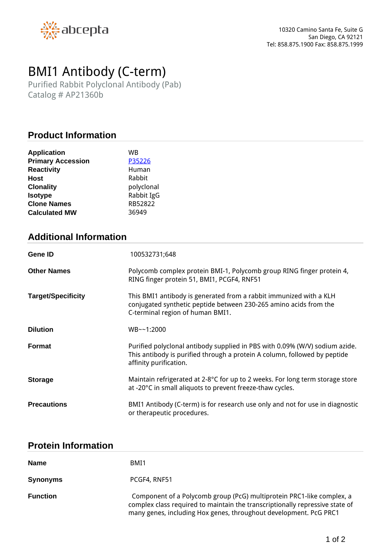

# *BMI1 Antibody (C-term)*

*Purified Rabbit Polyclonal Antibody (Pab) Catalog # AP21360b*

### **Product Information**

| <b>Application</b>       | WB         |
|--------------------------|------------|
| <b>Primary Accession</b> | P35226     |
| <b>Reactivity</b>        | Human      |
| Host                     | Rabbit     |
| <b>Clonality</b>         | polyclonal |
| <b>Isotype</b>           | Rabbit IgG |
| <b>Clone Names</b>       | RB52822    |
| <b>Calculated MW</b>     | 36949      |
|                          |            |

# **Additional Information**

| Gene ID                   | 100532731;648                                                                                                                                                                      |
|---------------------------|------------------------------------------------------------------------------------------------------------------------------------------------------------------------------------|
| <b>Other Names</b>        | Polycomb complex protein BMI-1, Polycomb group RING finger protein 4,<br>RING finger protein 51, BMI1, PCGF4, RNF51                                                                |
| <b>Target/Specificity</b> | This BMI1 antibody is generated from a rabbit immunized with a KLH<br>conjugated synthetic peptide between 230-265 amino acids from the<br>C-terminal region of human BMI1.        |
| <b>Dilution</b>           | $WB - -1:2000$                                                                                                                                                                     |
| Format                    | Purified polyclonal antibody supplied in PBS with 0.09% (W/V) sodium azide.<br>This antibody is purified through a protein A column, followed by peptide<br>affinity purification. |
| <b>Storage</b>            | Maintain refrigerated at 2-8°C for up to 2 weeks. For long term storage store<br>at -20°C in small aliquots to prevent freeze-thaw cycles.                                         |
| <b>Precautions</b>        | BMI1 Antibody (C-term) is for research use only and not for use in diagnostic<br>or therapeutic procedures.                                                                        |

#### **Protein Information**

| <b>Name</b>     | BMI1                                                                                                                                                                                                                       |
|-----------------|----------------------------------------------------------------------------------------------------------------------------------------------------------------------------------------------------------------------------|
| <b>Synonyms</b> | PCGF4, RNF51                                                                                                                                                                                                               |
| <b>Function</b> | Component of a Polycomb group (PcG) multiprotein PRC1-like complex, a<br>complex class required to maintain the transcriptionally repressive state of<br>many genes, including Hox genes, throughout development. PcG PRC1 |